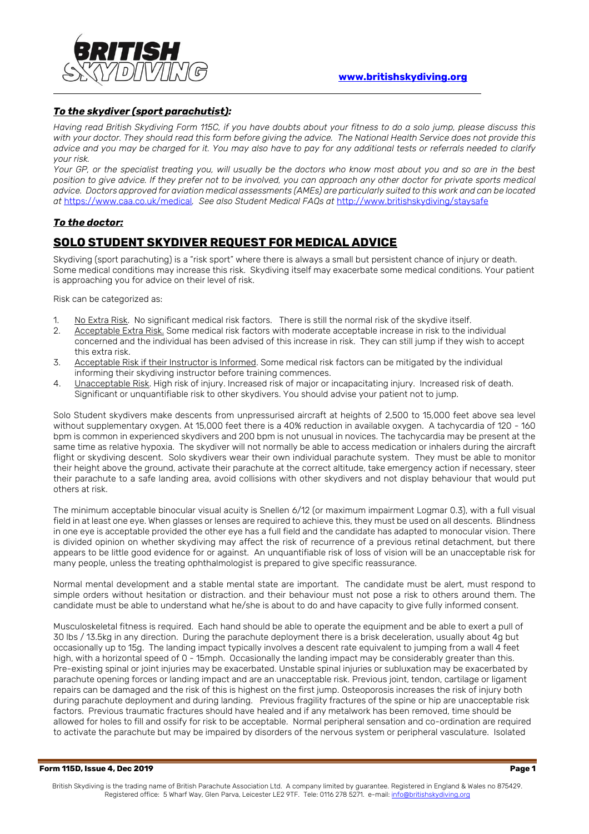

## *To the skydiver (sport parachutist):*

*Having read British Skydiving Form 115C, if you have doubts about your fitness to do a solo jump, please discuss this with your doctor. They should read this form before giving the advice. The National Health Service does not provide this advice and you may be charged for it. You may also have to pay for any additional tests or referrals needed to clarify your risk.* 

*Your GP, or the specialist treating you, will usually be the doctors who know most about you and so are in the best position to give advice. If they prefer not to be involved, you can approach any other doctor for private sports medical advice. Doctors approved for aviation medical assessments (AMEs) are particularly suited to this work and can be located at* <https://www.caa.co.uk/medical>*. See also Student Medical FAQs at* <http://www.britishskydiving/staysafe>

## *To the doctor:*

## **SOLO STUDENT SKYDIVER REQUEST FOR MEDICAL ADVICE**

Skydiving (sport parachuting) is a "risk sport" where there is always a small but persistent chance of injury or death. Some medical conditions may increase this risk. Skydiving itself may exacerbate some medical conditions. Your patient is approaching you for advice on their level of risk.

Risk can be categorized as:

- 1. No Extra Risk. No significant medical risk factors. There is still the normal risk of the skydive itself.
- 2. Acceptable Extra Risk. Some medical risk factors with moderate acceptable increase in risk to the individual concerned and the individual has been advised of this increase in risk. They can still jump if they wish to accept this extra risk.
- 3. Acceptable Risk if their Instructor is Informed. Some medical risk factors can be mitigated by the individual informing their skydiving instructor before training commences.
- 4. Unacceptable Risk. High risk of injury. Increased risk of major or incapacitating injury. Increased risk of death. Significant or unquantifiable risk to other skydivers. You should advise your patient not to jump.

Solo Student skydivers make descents from unpressurised aircraft at heights of 2,500 to 15,000 feet above sea level without supplementary oxygen. At 15,000 feet there is a 40% reduction in available oxygen. A tachycardia of 120 - 160 bpm is common in experienced skydivers and 200 bpm is not unusual in novices. The tachycardia may be present at the same time as relative hypoxia. The skydiver will not normally be able to access medication or inhalers during the aircraft flight or skydiving descent. Solo skydivers wear their own individual parachute system. They must be able to monitor their height above the ground, activate their parachute at the correct altitude, take emergency action if necessary, steer their parachute to a safe landing area, avoid collisions with other skydivers and not display behaviour that would put others at risk.

The minimum acceptable binocular visual acuity is Snellen 6/12 (or maximum impairment Logmar 0.3), with a full visual field in at least one eye. When glasses or lenses are required to achieve this, they must be used on all descents. Blindness in one eye is acceptable provided the other eye has a full field and the candidate has adapted to monocular vision. There is divided opinion on whether skydiving may affect the risk of recurrence of a previous retinal detachment, but there appears to be little good evidence for or against. An unquantifiable risk of loss of vision will be an unacceptable risk for many people, unless the treating ophthalmologist is prepared to give specific reassurance.

Normal mental development and a stable mental state are important. The candidate must be alert, must respond to simple orders without hesitation or distraction. and their behaviour must not pose a risk to others around them. The candidate must be able to understand what he/she is about to do and have capacity to give fully informed consent.

Musculoskeletal fitness is required. Each hand should be able to operate the equipment and be able to exert a pull of 30 lbs / 13.5kg in any direction. During the parachute deployment there is a brisk deceleration, usually about 4g but occasionally up to 15g. The landing impact typically involves a descent rate equivalent to jumping from a wall 4 feet high, with a horizontal speed of 0 - 15mph. Occasionally the landing impact may be considerably greater than this. Pre-existing spinal or joint injuries may be exacerbated. Unstable spinal injuries or subluxation may be exacerbated by parachute opening forces or landing impact and are an unacceptable risk. Previous joint, tendon, cartilage or ligament repairs can be damaged and the risk of this is highest on the first jump. Osteoporosis increases the risk of injury both during parachute deployment and during landing. Previous fragility fractures of the spine or hip are unacceptable risk factors. Previous traumatic fractures should have healed and if any metalwork has been removed, time should be allowed for holes to fill and ossify for risk to be acceptable. Normal peripheral sensation and co-ordination are required to activate the parachute but may be impaired by disorders of the nervous system or peripheral vasculature. Isolated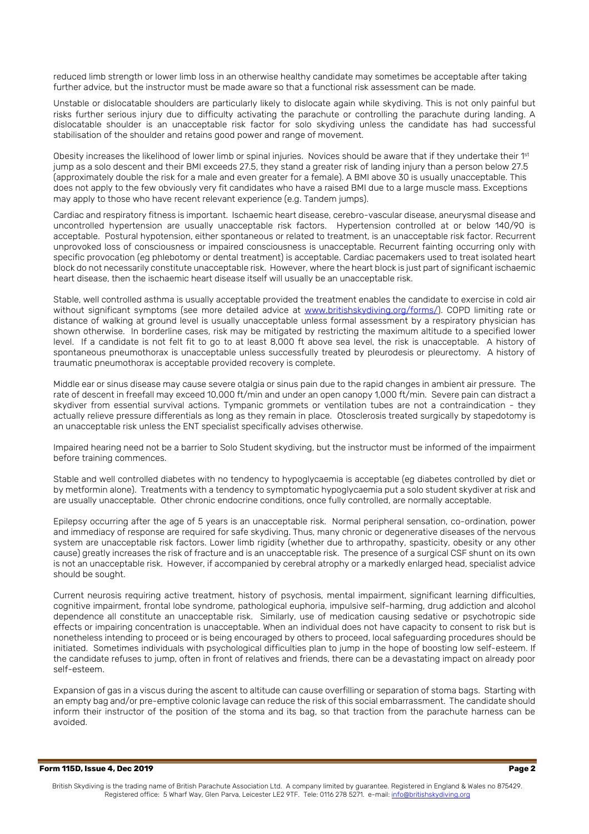reduced limb strength or lower limb loss in an otherwise healthy candidate may sometimes be acceptable after taking further advice, but the instructor must be made aware so that a functional risk assessment can be made.

Unstable or dislocatable shoulders are particularly likely to dislocate again while skydiving. This is not only painful but risks further serious injury due to difficulty activating the parachute or controlling the parachute during landing. A dislocatable shoulder is an unacceptable risk factor for solo skydiving unless the candidate has had successful stabilisation of the shoulder and retains good power and range of movement.

Obesity increases the likelihood of lower limb or spinal injuries. Novices should be aware that if they undertake their 1st jump as a solo descent and their BMI exceeds 27.5, they stand a greater risk of landing injury than a person below 27.5 (approximately double the risk for a male and even greater for a female). A BMI above 30 is usually unacceptable. This does not apply to the few obviously very fit candidates who have a raised BMI due to a large muscle mass. Exceptions may apply to those who have recent relevant experience (e.g. Tandem jumps).

Cardiac and respiratory fitness is important. Ischaemic heart disease, cerebro-vascular disease, aneurysmal disease and uncontrolled hypertension are usually unacceptable risk factors. Hypertension controlled at or below 140/90 is acceptable. Postural hypotension, either spontaneous or related to treatment, is an unacceptable risk factor. Recurrent unprovoked loss of consciousness or impaired consciousness is unacceptable. Recurrent fainting occurring only with specific provocation (eg phlebotomy or dental treatment) is acceptable. Cardiac pacemakers used to treat isolated heart block do not necessarily constitute unacceptable risk. However, where the heart block is just part of significant ischaemic heart disease, then the ischaemic heart disease itself will usually be an unacceptable risk.

Stable, well controlled asthma is usually acceptable provided the treatment enables the candidate to exercise in cold air without significant symptoms (see more detailed advice at [www.britishskydiving.org/forms/\)](http://www.britishskydiving.org/forms/). COPD limiting rate or distance of walking at ground level is usually unacceptable unless formal assessment by a respiratory physician has shown otherwise. In borderline cases, risk may be mitigated by restricting the maximum altitude to a specified lower level. If a candidate is not felt fit to go to at least 8,000 ft above sea level, the risk is unacceptable. A history of spontaneous pneumothorax is unacceptable unless successfully treated by pleurodesis or pleurectomy. A history of traumatic pneumothorax is acceptable provided recovery is complete.

Middle ear or sinus disease may cause severe otalgia or sinus pain due to the rapid changes in ambient air pressure. The rate of descent in freefall may exceed 10,000 ft/min and under an open canopy 1,000 ft/min. Severe pain can distract a skydiver from essential survival actions. Tympanic grommets or ventilation tubes are not a contraindication - they actually relieve pressure differentials as long as they remain in place. Otosclerosis treated surgically by stapedotomy is an unacceptable risk unless the ENT specialist specifically advises otherwise.

Impaired hearing need not be a barrier to Solo Student skydiving, but the instructor must be informed of the impairment before training commences.

Stable and well controlled diabetes with no tendency to hypoglycaemia is acceptable (eg diabetes controlled by diet or by metformin alone). Treatments with a tendency to symptomatic hypoglycaemia put a solo student skydiver at risk and are usually unacceptable. Other chronic endocrine conditions, once fully controlled, are normally acceptable.

Epilepsy occurring after the age of 5 years is an unacceptable risk. Normal peripheral sensation, co-ordination, power and immediacy of response are required for safe skydiving. Thus, many chronic or degenerative diseases of the nervous system are unacceptable risk factors. Lower limb rigidity (whether due to arthropathy, spasticity, obesity or any other cause) greatly increases the risk of fracture and is an unacceptable risk. The presence of a surgical CSF shunt on its own is not an unacceptable risk. However, if accompanied by cerebral atrophy or a markedly enlarged head, specialist advice should be sought.

Current neurosis requiring active treatment, history of psychosis, mental impairment, significant learning difficulties, cognitive impairment, frontal lobe syndrome, pathological euphoria, impulsive self-harming, drug addiction and alcohol dependence all constitute an unacceptable risk. Similarly, use of medication causing sedative or psychotropic side effects or impairing concentration is unacceptable. When an individual does not have capacity to consent to risk but is nonetheless intending to proceed or is being encouraged by others to proceed, local safeguarding procedures should be initiated. Sometimes individuals with psychological difficulties plan to jump in the hope of boosting low self-esteem. If the candidate refuses to jump, often in front of relatives and friends, there can be a devastating impact on already poor self-esteem.

Expansion of gas in a viscus during the ascent to altitude can cause overfilling or separation of stoma bags. Starting with an empty bag and/or pre-emptive colonic lavage can reduce the risk of this social embarrassment. The candidate should inform their instructor of the position of the stoma and its bag, so that traction from the parachute harness can be avoided.

**Form 115D, Issue 4, Dec 2019 Page 2**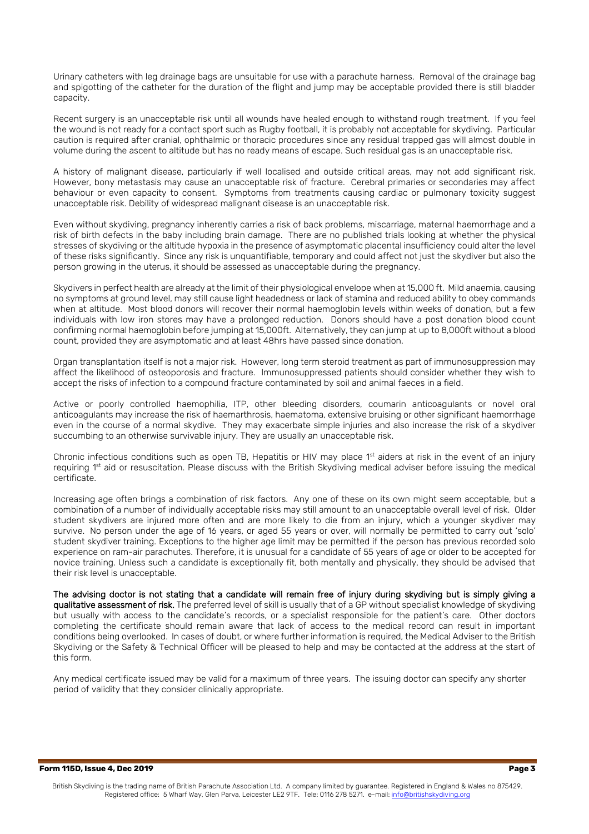Urinary catheters with leg drainage bags are unsuitable for use with a parachute harness. Removal of the drainage bag and spigotting of the catheter for the duration of the flight and jump may be acceptable provided there is still bladder capacity.

Recent surgery is an unacceptable risk until all wounds have healed enough to withstand rough treatment. If you feel the wound is not ready for a contact sport such as Rugby football, it is probably not acceptable for skydiving. Particular caution is required after cranial, ophthalmic or thoracic procedures since any residual trapped gas will almost double in volume during the ascent to altitude but has no ready means of escape. Such residual gas is an unacceptable risk.

A history of malignant disease, particularly if well localised and outside critical areas, may not add significant risk. However, bony metastasis may cause an unacceptable risk of fracture. Cerebral primaries or secondaries may affect behaviour or even capacity to consent. Symptoms from treatments causing cardiac or pulmonary toxicity suggest unacceptable risk. Debility of widespread malignant disease is an unacceptable risk.

Even without skydiving, pregnancy inherently carries a risk of back problems, miscarriage, maternal haemorrhage and a risk of birth defects in the baby including brain damage. There are no published trials looking at whether the physical stresses of skydiving or the altitude hypoxia in the presence of asymptomatic placental insufficiency could alter the level of these risks significantly. Since any risk is unquantifiable, temporary and could affect not just the skydiver but also the person growing in the uterus, it should be assessed as unacceptable during the pregnancy.

Skydivers in perfect health are already at the limit of their physiological envelope when at 15,000 ft. Mild anaemia, causing no symptoms at ground level, may still cause light headedness or lack of stamina and reduced ability to obey commands when at altitude. Most blood donors will recover their normal haemoglobin levels within weeks of donation, but a few individuals with low iron stores may have a prolonged reduction. Donors should have a post donation blood count confirming normal haemoglobin before jumping at 15,000ft. Alternatively, they can jump at up to 8,000ft without a blood count, provided they are asymptomatic and at least 48hrs have passed since donation.

Organ transplantation itself is not a major risk. However, long term steroid treatment as part of immunosuppression may affect the likelihood of osteoporosis and fracture. Immunosuppressed patients should consider whether they wish to accept the risks of infection to a compound fracture contaminated by soil and animal faeces in a field.

Active or poorly controlled haemophilia, ITP, other bleeding disorders, coumarin anticoagulants or novel oral anticoagulants may increase the risk of haemarthrosis, haematoma, extensive bruising or other significant haemorrhage even in the course of a normal skydive. They may exacerbate simple injuries and also increase the risk of a skydiver succumbing to an otherwise survivable injury. They are usually an unacceptable risk.

Chronic infectious conditions such as open TB, Hepatitis or HIV may place  $1<sup>st</sup>$  aiders at risk in the event of an injury requiring 1st aid or resuscitation. Please discuss with the British Skydiving medical adviser before issuing the medical certificate.

Increasing age often brings a combination of risk factors. Any one of these on its own might seem acceptable, but a combination of a number of individually acceptable risks may still amount to an unacceptable overall level of risk. Older student skydivers are injured more often and are more likely to die from an injury, which a younger skydiver may survive. No person under the age of 16 years, or aged 55 years or over, will normally be permitted to carry out 'solo' student skydiver training. Exceptions to the higher age limit may be permitted if the person has previous recorded solo experience on ram-air parachutes. Therefore, it is unusual for a candidate of 55 years of age or older to be accepted for novice training. Unless such a candidate is exceptionally fit, both mentally and physically, they should be advised that their risk level is unacceptable.

The advising doctor is not stating that a candidate will remain free of injury during skydiving but is simply giving a qualitative assessment of risk. The preferred level of skill is usually that of a GP without specialist knowledge of skydiving but usually with access to the candidate's records, or a specialist responsible for the patient's care. Other doctors completing the certificate should remain aware that lack of access to the medical record can result in important conditions being overlooked. In cases of doubt, or where further information is required, the Medical Adviser to the British Skydiving or the Safety & Technical Officer will be pleased to help and may be contacted at the address at the start of this form.

Any medical certificate issued may be valid for a maximum of three years. The issuing doctor can specify any shorter period of validity that they consider clinically appropriate.

**Form 115D, Issue 4, Dec 2019 Page 3**